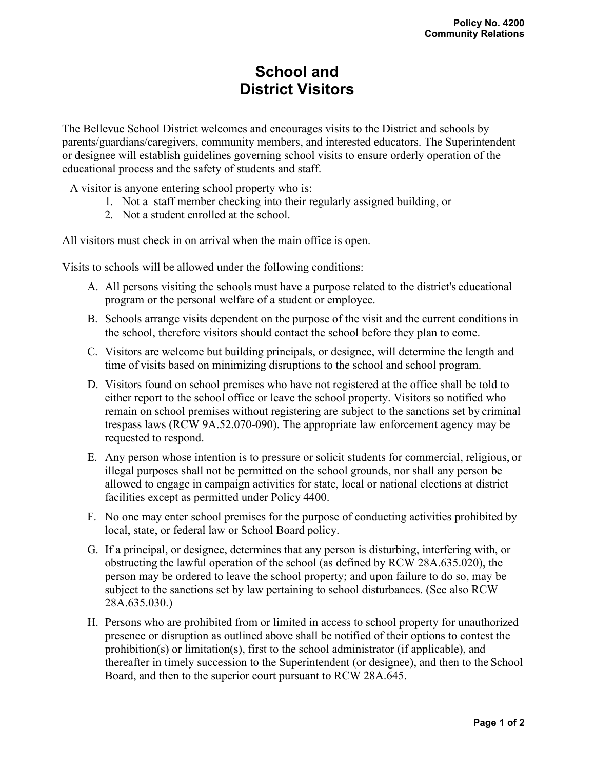## **School and District Visitors**

The Bellevue School District welcomes and encourages visits to the District and schools by parents/guardians/caregivers, community members, and interested educators. The Superintendent or designee will establish guidelines governing school visits to ensure orderly operation of the educational process and the safety of students and staff.

A visitor is anyone entering school property who is:

- 1. Not a staff member checking into their regularly assigned building, or
- 2. Not a student enrolled at the school.

All visitors must check in on arrival when the main office is open.

Visits to schools will be allowed under the following conditions:

- A. All persons visiting the schools must have a purpose related to the district's educational program or the personal welfare of a student or employee.
- B. Schools arrange visits dependent on the purpose of the visit and the current conditions in the school, therefore visitors should contact the school before they plan to come.
- C. Visitors are welcome but building principals, or designee, will determine the length and time of visits based on minimizing disruptions to the school and school program.
- D. Visitors found on school premises who have not registered at the office shall be told to either report to the school office or leave the school property. Visitors so notified who remain on school premises without registering are subject to the sanctions set by criminal trespass laws (RCW 9A.52.070-090). The appropriate law enforcement agency may be requested to respond.
- E. Any person whose intention is to pressure or solicit students for commercial, religious, or illegal purposes shall not be permitted on the school grounds, nor shall any person be allowed to engage in campaign activities for state, local or national elections at district facilities except as permitted under Policy 4400.
- F. No one may enter school premises for the purpose of conducting activities prohibited by local, state, or federal law or School Board policy.
- G. If a principal, or designee, determines that any person is disturbing, interfering with, or obstructing the lawful operation of the school (as defined by RCW 28A.635.020), the person may be ordered to leave the school property; and upon failure to do so, may be subject to the sanctions set by law pertaining to school disturbances. (See also RCW 28A.635.030.)
- H. Persons who are prohibited from or limited in access to school property for unauthorized presence or disruption as outlined above shall be notified of their options to contest the prohibition(s) or limitation(s), first to the school administrator (if applicable), and thereafter in timely succession to the Superintendent (or designee), and then to the School Board, and then to the superior court pursuant to RCW 28A.645.